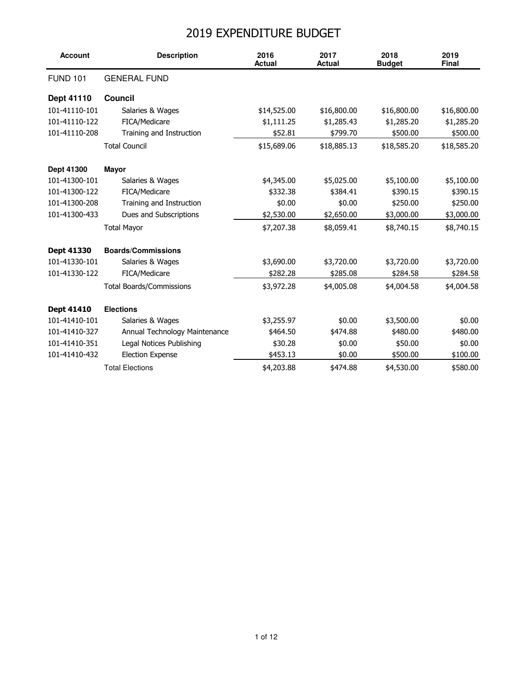## 2019 EXPENDITURE BUDGET

| <b>Account</b>    | <b>Description</b>              | 2016<br><b>Actual</b> | 2017<br><b>Actual</b> | 2018<br><b>Budget</b> | 2019<br><b>Final</b> |
|-------------------|---------------------------------|-----------------------|-----------------------|-----------------------|----------------------|
| <b>FUND 101</b>   | <b>GENERAL FUND</b>             |                       |                       |                       |                      |
| <b>Dept 41110</b> | Council                         |                       |                       |                       |                      |
| 101-41110-101     | Salaries & Wages                | \$14,525.00           | \$16,800.00           | \$16,800.00           | \$16,800.00          |
| 101-41110-122     | FICA/Medicare                   | \$1,111.25            | \$1,285.43            | \$1,285.20            | \$1,285.20           |
| 101-41110-208     | Training and Instruction        | \$52.81               | \$799.70              | \$500.00              | \$500.00             |
|                   | <b>Total Council</b>            | \$15,689.06           | \$18,885.13           | \$18,585.20           | \$18,585.20          |
| Dept 41300        | <b>Mayor</b>                    |                       |                       |                       |                      |
| 101-41300-101     | Salaries & Wages                | \$4,345.00            | \$5,025.00            | \$5,100.00            | \$5,100.00           |
| 101-41300-122     | FICA/Medicare                   | \$332.38              | \$384.41              | \$390.15              | \$390.15             |
| 101-41300-208     | Training and Instruction        | \$0.00                | \$0.00                | \$250.00              | \$250.00             |
| 101-41300-433     | Dues and Subscriptions          | \$2,530.00            | \$2,650.00            | \$3,000.00            | \$3,000.00           |
|                   | <b>Total Mayor</b>              | \$7,207.38            | \$8,059.41            | \$8,740.15            | \$8,740.15           |
| Dept 41330        | <b>Boards/Commissions</b>       |                       |                       |                       |                      |
| 101-41330-101     | Salaries & Wages                | \$3,690.00            | \$3,720.00            | \$3,720.00            | \$3,720.00           |
| 101-41330-122     | FICA/Medicare                   | \$282.28              | \$285.08              | \$284.58              | \$284.58             |
|                   | <b>Total Boards/Commissions</b> | \$3,972.28            | \$4,005.08            | \$4,004.58            | \$4,004.58           |
| Dept 41410        | <b>Elections</b>                |                       |                       |                       |                      |
| 101-41410-101     | Salaries & Wages                | \$3,255.97            | \$0.00                | \$3,500.00            | \$0.00               |
| 101-41410-327     | Annual Technology Maintenance   | \$464.50              | \$474.88              | \$480.00              | \$480.00             |
| 101-41410-351     | Legal Notices Publishing        | \$30.28               | \$0.00                | \$50.00               | \$0.00               |
| 101-41410-432     | <b>Election Expense</b>         | \$453.13              | \$0.00                | \$500.00              | \$100.00             |
|                   | <b>Total Elections</b>          | \$4,203.88            | \$474.88              | \$4,530.00            | \$580.00             |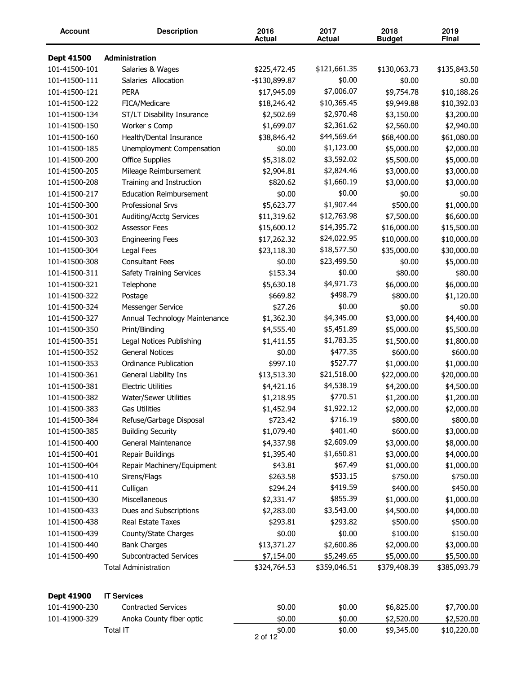| <b>Account</b> | <b>Description</b>              | 2016<br><b>Actual</b>              | 2017<br><b>Actual</b> | 2018<br><b>Budget</b>  | 2019<br>Final          |
|----------------|---------------------------------|------------------------------------|-----------------------|------------------------|------------------------|
| Dept 41500     | <b>Administration</b>           |                                    |                       |                        |                        |
| 101-41500-101  | Salaries & Wages                | \$225,472.45                       | \$121,661.35          | \$130,063.73           | \$135,843.50           |
| 101-41500-111  | Salaries Allocation             | -\$130,899.87                      | \$0.00                | \$0.00                 | \$0.00                 |
| 101-41500-121  | <b>PERA</b>                     | \$17,945.09                        | \$7,006.07            | \$9,754.78             | \$10,188.26            |
| 101-41500-122  | FICA/Medicare                   | \$18,246.42                        | \$10,365.45           | \$9,949.88             | \$10,392.03            |
| 101-41500-134  | ST/LT Disability Insurance      | \$2,502.69                         | \$2,970.48            | \$3,150.00             | \$3,200.00             |
| 101-41500-150  | Worker s Comp                   | \$1,699.07                         | \$2,361.62            | \$2,560.00             | \$2,940.00             |
| 101-41500-160  | Health/Dental Insurance         | \$38,846.42                        | \$44,569.64           | \$68,400.00            | \$61,080.00            |
| 101-41500-185  | Unemployment Compensation       | \$0.00                             | \$1,123.00            | \$5,000.00             | \$2,000.00             |
| 101-41500-200  | <b>Office Supplies</b>          | \$5,318.02                         | \$3,592.02            | \$5,500.00             | \$5,000.00             |
| 101-41500-205  | Mileage Reimbursement           | \$2,904.81                         | \$2,824.46            | \$3,000.00             | \$3,000.00             |
| 101-41500-208  | Training and Instruction        | \$820.62                           | \$1,660.19            | \$3,000.00             | \$3,000.00             |
| 101-41500-217  | <b>Education Reimbursement</b>  | \$0.00                             | \$0.00                | \$0.00                 | \$0.00                 |
| 101-41500-300  | <b>Professional Srvs</b>        | \$5,623.77                         | \$1,907.44            | \$500.00               | \$1,000.00             |
| 101-41500-301  | <b>Auditing/Acctg Services</b>  | \$11,319.62                        | \$12,763.98           | \$7,500.00             | \$6,600.00             |
| 101-41500-302  | <b>Assessor Fees</b>            | \$15,600.12                        | \$14,395.72           | \$16,000.00            | \$15,500.00            |
| 101-41500-303  | <b>Engineering Fees</b>         | \$17,262.32                        | \$24,022.95           | \$10,000.00            | \$10,000.00            |
| 101-41500-304  | Legal Fees                      | \$23,118.30                        | \$18,577.50           | \$35,000.00            | \$30,000.00            |
| 101-41500-308  | <b>Consultant Fees</b>          | \$0.00                             | \$23,499.50           | \$0.00                 | \$5,000.00             |
| 101-41500-311  | <b>Safety Training Services</b> | \$153.34                           | \$0.00                | \$80.00                | \$80.00                |
| 101-41500-321  | Telephone                       | \$5,630.18                         | \$4,971.73            | \$6,000.00             | \$6,000.00             |
| 101-41500-322  | Postage                         | \$669.82                           | \$498.79              | \$800.00               | \$1,120.00             |
| 101-41500-324  | Messenger Service               | \$27.26                            | \$0.00                | \$0.00                 | \$0.00                 |
| 101-41500-327  | Annual Technology Maintenance   | \$1,362.30                         | \$4,345.00            | \$3,000.00             | \$4,400.00             |
| 101-41500-350  | Print/Binding                   | \$4,555.40                         | \$5,451.89            | \$5,000.00             | \$5,500.00             |
| 101-41500-351  | Legal Notices Publishing        | \$1,411.55                         | \$1,783.35            | \$1,500.00             | \$1,800.00             |
| 101-41500-352  | <b>General Notices</b>          | \$0.00                             | \$477.35              | \$600.00               | \$600.00               |
| 101-41500-353  | <b>Ordinance Publication</b>    | \$997.10                           | \$527.77              | \$1,000.00             | \$1,000.00             |
| 101-41500-361  | General Liability Ins           | \$13,513.30                        | \$21,518.00           | \$22,000.00            | \$20,000.00            |
| 101-41500-381  | <b>Electric Utilities</b>       | \$4,421.16                         | \$4,538.19            | \$4,200.00             | \$4,500.00             |
| 101-41500-382  | Water/Sewer Utilities           | \$1,218.95                         | \$770.51              | \$1,200.00             | \$1,200.00             |
| 101-41500-383  | Gas Utilities                   |                                    | \$1,922.12            |                        |                        |
| 101-41500-384  | Refuse/Garbage Disposal         | \$1,452.94<br>\$723.42             | \$716.19              | \$2,000.00<br>\$800.00 | \$2,000.00<br>\$800.00 |
| 101-41500-385  | <b>Building Security</b>        | \$1,079.40                         | \$401.40              | \$600.00               | \$3,000.00             |
| 101-41500-400  | General Maintenance             | \$4,337.98                         | \$2,609.09            | \$3,000.00             | \$8,000.00             |
| 101-41500-401  | Repair Buildings                | \$1,395.40                         | \$1,650.81            | \$3,000.00             | \$4,000.00             |
| 101-41500-404  | Repair Machinery/Equipment      | \$43.81                            | \$67.49               | \$1,000.00             | \$1,000.00             |
| 101-41500-410  | Sirens/Flags                    | \$263.58                           | \$533.15              | \$750.00               | \$750.00               |
| 101-41500-411  | Culligan                        | \$294.24                           | \$419.59              | \$400.00               | \$450.00               |
| 101-41500-430  | Miscellaneous                   | \$2,331.47                         | \$855.39              | \$1,000.00             | \$1,000.00             |
| 101-41500-433  | Dues and Subscriptions          | \$2,283.00                         | \$3,543.00            | \$4,500.00             | \$4,000.00             |
| 101-41500-438  | Real Estate Taxes               | \$293.81                           | \$293.82              | \$500.00               | \$500.00               |
|                |                                 |                                    |                       |                        |                        |
| 101-41500-439  | County/State Charges            | \$0.00                             | \$0.00                | \$100.00               | \$150.00               |
| 101-41500-440  | <b>Bank Charges</b>             | \$13,371.27                        | \$2,600.86            | \$2,000.00             | \$3,000.00             |
| 101-41500-490  | Subcontracted Services          | \$7,154.00                         | \$5,249.65            | \$5,000.00             | \$5,500.00             |
|                | <b>Total Administration</b>     | \$324,764.53                       | \$359,046.51          | \$379,408.39           | \$385,093.79           |
| Dept 41900     | <b>IT Services</b>              |                                    |                       |                        |                        |
| 101-41900-230  | <b>Contracted Services</b>      | \$0.00                             | \$0.00                | \$6,825.00             | \$7,700.00             |
| 101-41900-329  | Anoka County fiber optic        | \$0.00                             | \$0.00                | \$2,520.00             | \$2,520.00             |
|                | Total IT                        | $2 \text{ of } 12 \times 10^{-10}$ | \$0.00                | \$9,345.00             | \$10,220.00            |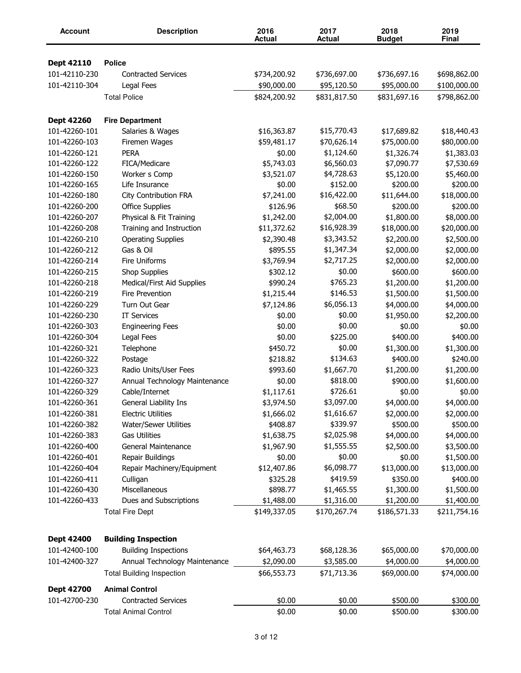| Account           | <b>Description</b>               | 2016<br><b>Actual</b> | 2017<br><b>Actual</b> | 2018<br><b>Budget</b> | 2019<br>Final |
|-------------------|----------------------------------|-----------------------|-----------------------|-----------------------|---------------|
|                   |                                  |                       |                       |                       |               |
| Dept 42110        | <b>Police</b>                    |                       |                       |                       |               |
| 101-42110-230     | <b>Contracted Services</b>       | \$734,200.92          | \$736,697.00          | \$736,697.16          | \$698,862.00  |
| 101-42110-304     | Legal Fees                       | \$90,000.00           | \$95,120.50           | \$95,000.00           | \$100,000.00  |
|                   | <b>Total Police</b>              | \$824,200.92          | \$831,817.50          | \$831,697.16          | \$798,862.00  |
| Dept 42260        | <b>Fire Department</b>           |                       |                       |                       |               |
| 101-42260-101     | Salaries & Wages                 | \$16,363.87           | \$15,770.43           | \$17,689.82           | \$18,440.43   |
| 101-42260-103     | Firemen Wages                    | \$59,481.17           | \$70,626.14           | \$75,000.00           | \$80,000.00   |
| 101-42260-121     | <b>PERA</b>                      | \$0.00                | \$1,124.60            | \$1,326.74            | \$1,383.03    |
| 101-42260-122     | FICA/Medicare                    | \$5,743.03            | \$6,560.03            | \$7,090.77            | \$7,530.69    |
| 101-42260-150     | Worker s Comp                    | \$3,521.07            | \$4,728.63            | \$5,120.00            | \$5,460.00    |
| 101-42260-165     | Life Insurance                   | \$0.00                | \$152.00              | \$200.00              | \$200.00      |
| 101-42260-180     | City Contribution FRA            | \$7,241.00            | \$16,422.00           | \$11,644.00           | \$18,000.00   |
| 101-42260-200     | <b>Office Supplies</b>           | \$126.96              | \$68.50               | \$200.00              | \$200.00      |
| 101-42260-207     | Physical & Fit Training          | \$1,242.00            | \$2,004.00            | \$1,800.00            | \$8,000.00    |
| 101-42260-208     | Training and Instruction         | \$11,372.62           | \$16,928.39           | \$18,000.00           | \$20,000.00   |
| 101-42260-210     | <b>Operating Supplies</b>        | \$2,390.48            | \$3,343.52            | \$2,200.00            | \$2,500.00    |
| 101-42260-212     | Gas & Oil                        | \$895.55              | \$1,347.34            | \$2,000.00            | \$2,000.00    |
| 101-42260-214     | Fire Uniforms                    | \$3,769.94            | \$2,717.25            | \$2,000.00            | \$2,000.00    |
| 101-42260-215     | Shop Supplies                    | \$302.12              | \$0.00                | \$600.00              | \$600.00      |
| 101-42260-218     | Medical/First Aid Supplies       | \$990.24              | \$765.23              | \$1,200.00            | \$1,200.00    |
| 101-42260-219     | Fire Prevention                  | \$1,215.44            | \$146.53              | \$1,500.00            | \$1,500.00    |
| 101-42260-229     | Turn Out Gear                    | \$7,124.86            | \$6,056.13            | \$4,000.00            | \$4,000.00    |
| 101-42260-230     | <b>IT Services</b>               | \$0.00                | \$0.00                | \$1,950.00            | \$2,200.00    |
| 101-42260-303     | <b>Engineering Fees</b>          | \$0.00                | \$0.00                | \$0.00                | \$0.00        |
| 101-42260-304     | Legal Fees                       | \$0.00                | \$225.00              | \$400.00              | \$400.00      |
| 101-42260-321     | Telephone                        | \$450.72              | \$0.00                | \$1,300.00            | \$1,300.00    |
| 101-42260-322     | Postage                          | \$218.82              | \$134.63              | \$400.00              | \$240.00      |
| 101-42260-323     | Radio Units/User Fees            | \$993.60              | \$1,667.70            | \$1,200.00            | \$1,200.00    |
| 101-42260-327     | Annual Technology Maintenance    | \$0.00                | \$818.00              | \$900.00              | \$1,600.00    |
| 101-42260-329     | Cable/Internet                   | \$1,117.61            | \$726.61              | \$0.00                | \$0.00        |
| 101-42260-361     | General Liability Ins            | \$3,974.50            | \$3,097.00            | \$4,000.00            | \$4,000.00    |
| 101-42260-381     | <b>Electric Utilities</b>        | \$1,666.02            | \$1,616.67            | \$2,000.00            | \$2,000.00    |
| 101-42260-382     | <b>Water/Sewer Utilities</b>     | \$408.87              | \$339.97              | \$500.00              | \$500.00      |
| 101-42260-383     | <b>Gas Utilities</b>             | \$1,638.75            | \$2,025.98            | \$4,000.00            | \$4,000.00    |
| 101-42260-400     | General Maintenance              | \$1,967.90            | \$1,555.55            | \$2,500.00            | \$3,500.00    |
| 101-42260-401     | Repair Buildings                 | \$0.00                | \$0.00                | \$0.00                | \$1,500.00    |
| 101-42260-404     | Repair Machinery/Equipment       | \$12,407.86           | \$6,098.77            | \$13,000.00           | \$13,000.00   |
| 101-42260-411     | Culligan                         | \$325.28              | \$419.59              | \$350.00              | \$400.00      |
| 101-42260-430     | Miscellaneous                    | \$898.77              | \$1,465.55            | \$1,300.00            | \$1,500.00    |
| 101-42260-433     | Dues and Subscriptions           | \$1,488.00            | \$1,316.00            | \$1,200.00            | \$1,400.00    |
|                   | <b>Total Fire Dept</b>           | \$149,337.05          | \$170,267.74          | \$186,571.33          | \$211,754.16  |
| <b>Dept 42400</b> | <b>Building Inspection</b>       |                       |                       |                       |               |
| 101-42400-100     |                                  |                       |                       |                       |               |
|                   | <b>Building Inspections</b>      | \$64,463.73           | \$68,128.36           | \$65,000.00           | \$70,000.00   |
| 101-42400-327     | Annual Technology Maintenance    | \$2,090.00            | \$3,585.00            | \$4,000.00            | \$4,000.00    |
|                   | <b>Total Building Inspection</b> | \$66,553.73           | \$71,713.36           | \$69,000.00           | \$74,000.00   |
| Dept 42700        | <b>Animal Control</b>            |                       |                       |                       |               |
| 101-42700-230     | <b>Contracted Services</b>       | \$0.00                | \$0.00                | \$500.00              | \$300.00      |
|                   | <b>Total Animal Control</b>      | \$0.00                | \$0.00                | \$500.00              | \$300.00      |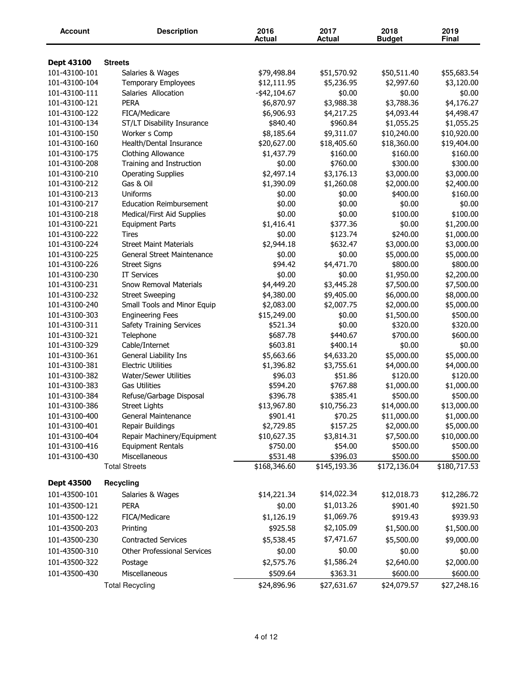| Account       | <b>Description</b>                    | 2016<br><b>Actual</b>    | 2017<br><b>Actual</b>    | 2018<br><b>Budget</b>    | 2019<br>Final            |
|---------------|---------------------------------------|--------------------------|--------------------------|--------------------------|--------------------------|
| Dept 43100    | <b>Streets</b>                        |                          |                          |                          |                          |
| 101-43100-101 | Salaries & Wages                      | \$79,498.84              | \$51,570.92              | \$50,511.40              | \$55,683.54              |
| 101-43100-104 | <b>Temporary Employees</b>            | \$12,111.95              | \$5,236.95               | \$2,997.60               | \$3,120.00               |
| 101-43100-111 | Salaries Allocation                   | $-$ \$42,104.67          | \$0.00                   | \$0.00                   | \$0.00                   |
| 101-43100-121 | <b>PERA</b>                           | \$6,870.97               | \$3,988.38               | \$3,788.36               | \$4,176.27               |
| 101-43100-122 | FICA/Medicare                         | \$6,906.93               | \$4,217.25               | \$4,093.44               | \$4,498.47               |
| 101-43100-134 | ST/LT Disability Insurance            | \$840.40                 | \$960.84                 | \$1,055.25               | \$1,055.25               |
| 101-43100-150 | Worker s Comp                         | \$8,185.64               | \$9,311.07               | \$10,240.00              | \$10,920.00              |
| 101-43100-160 | Health/Dental Insurance               | \$20,627.00              | \$18,405.60              | \$18,360.00              | \$19,404.00              |
| 101-43100-175 | Clothing Allowance                    | \$1,437.79               | \$160.00                 | \$160.00                 | \$160.00                 |
| 101-43100-208 | Training and Instruction              | \$0.00                   | \$760.00                 | \$300.00                 | \$300.00                 |
| 101-43100-210 | <b>Operating Supplies</b>             | \$2,497.14               | \$3,176.13               | \$3,000.00               | \$3,000.00               |
| 101-43100-212 | Gas & Oil                             | \$1,390.09               | \$1,260.08               | \$2,000.00               | \$2,400.00               |
| 101-43100-213 | Uniforms                              | \$0.00                   | \$0.00                   | \$400.00                 | \$160.00                 |
| 101-43100-217 | <b>Education Reimbursement</b>        | \$0.00                   | \$0.00                   | \$0.00                   | \$0.00                   |
| 101-43100-218 | Medical/First Aid Supplies            | \$0.00                   | \$0.00                   | \$100.00                 | \$100.00                 |
| 101-43100-221 | <b>Equipment Parts</b>                | \$1,416.41               | \$377.36                 | \$0.00                   | \$1,200.00               |
| 101-43100-222 | Tires                                 | \$0.00                   | \$123.74                 | \$240.00                 | \$1,000.00               |
| 101-43100-224 | <b>Street Maint Materials</b>         | \$2,944.18               | \$632.47                 | \$3,000.00               | \$3,000.00               |
| 101-43100-225 | General Street Maintenance            | \$0.00                   | \$0.00                   | \$5,000.00               | \$5,000.00               |
| 101-43100-226 | <b>Street Signs</b>                   | \$94.42                  | \$4,471.70               | \$800.00                 | \$800.00                 |
| 101-43100-230 | <b>IT Services</b>                    | \$0.00                   | \$0.00                   | \$1,950.00               | \$2,200.00               |
| 101-43100-231 | Snow Removal Materials                | \$4,449.20               | \$3,445.28               | \$7,500.00               | \$7,500.00               |
| 101-43100-232 | <b>Street Sweeping</b>                | \$4,380.00               | \$9,405.00               | \$6,000.00               | \$8,000.00               |
| 101-43100-240 | Small Tools and Minor Equip           | \$2,083.00               | \$2,007.75               | \$2,000.00               | \$5,000.00               |
| 101-43100-303 | <b>Engineering Fees</b>               | \$15,249.00              | \$0.00                   | \$1,500.00               | \$500.00                 |
| 101-43100-311 | Safety Training Services              | \$521.34                 | \$0.00                   | \$320.00                 | \$320.00                 |
| 101-43100-321 | Telephone                             | \$687.78                 | \$440.67                 | \$700.00                 | \$600.00                 |
| 101-43100-329 | Cable/Internet                        | \$603.81                 | \$400.14                 | \$0.00                   | \$0.00                   |
| 101-43100-361 | General Liability Ins                 | \$5,663.66               | \$4,633.20               | \$5,000.00               | \$5,000.00               |
| 101-43100-381 | <b>Electric Utilities</b>             | \$1,396.82               | \$3,755.61               | \$4,000.00               | \$4,000.00               |
| 101-43100-382 | Water/Sewer Utilities                 | \$96.03                  | \$51.86                  | \$120.00                 | \$120.00                 |
| 101-43100-383 | <b>Gas Utilities</b>                  | \$594.20                 | \$767.88                 | \$1,000.00               | \$1,000.00               |
| 101-43100-384 | Refuse/Garbage Disposal               | \$396.78                 | \$385.41                 | \$500.00                 | \$500.00                 |
| 101-43100-386 | <b>Street Lights</b>                  | \$13,967.80              | \$10,756.23              | \$14,000.00              | \$13,000.00              |
| 101-43100-400 | General Maintenance                   | \$901.41                 | \$70.25                  | \$11,000.00              | \$1,000.00               |
| 101-43100-401 | Repair Buildings                      | \$2,729.85               | \$157.25                 | \$2,000.00               | \$5,000.00               |
| 101-43100-404 | Repair Machinery/Equipment            | \$10,627.35              | \$3,814.31               | \$7,500.00               | \$10,000.00              |
| 101-43100-416 | <b>Equipment Rentals</b>              | \$750.00                 | \$54.00                  | \$500.00                 | \$500.00                 |
| 101-43100-430 | Miscellaneous<br><b>Total Streets</b> | \$531.48<br>\$168,346.60 | \$396.03<br>\$145,193.36 | \$500.00<br>\$172,136.04 | \$500.00<br>\$180,717.53 |
| Dept 43500    | <b>Recycling</b>                      |                          |                          |                          |                          |
| 101-43500-101 | Salaries & Wages                      | \$14,221.34              | \$14,022.34              | \$12,018.73              | \$12,286.72              |
| 101-43500-121 | <b>PERA</b>                           | \$0.00                   | \$1,013.26               | \$901.40                 | \$921.50                 |
| 101-43500-122 |                                       | \$1,126.19               | \$1,069.76               | \$919.43                 | \$939.93                 |
|               | FICA/Medicare                         |                          |                          |                          |                          |
| 101-43500-203 | Printing                              | \$925.58                 | \$2,105.09               | \$1,500.00               | \$1,500.00               |
| 101-43500-230 | <b>Contracted Services</b>            | \$5,538.45               | \$7,471.67               | \$5,500.00               | \$9,000.00               |
| 101-43500-310 | <b>Other Professional Services</b>    | \$0.00                   | \$0.00                   | \$0.00                   | \$0.00                   |
| 101-43500-322 | Postage                               | \$2,575.76               | \$1,586.24               | \$2,640.00               | \$2,000.00               |
| 101-43500-430 | Miscellaneous                         | \$509.64                 | \$363.31                 | \$600.00                 | \$600.00                 |
|               | <b>Total Recycling</b>                | \$24,896.96              | \$27,631.67              | \$24,079.57              | \$27,248.16              |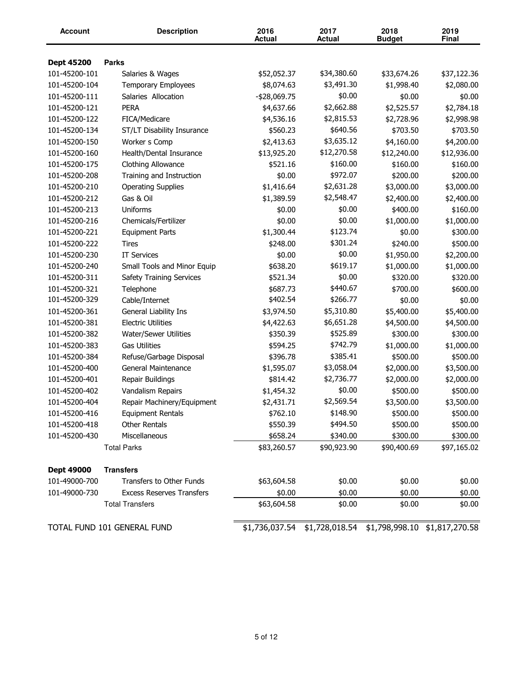| <b>Account</b>    | <b>Description</b>               | 2016<br><b>Actual</b> | 2017<br><b>Actual</b>                                       | 2018<br><b>Budget</b> | 2019<br><b>Final</b> |
|-------------------|----------------------------------|-----------------------|-------------------------------------------------------------|-----------------------|----------------------|
|                   |                                  |                       |                                                             |                       |                      |
| <b>Dept 45200</b> | <b>Parks</b>                     |                       |                                                             |                       |                      |
| 101-45200-101     | Salaries & Wages                 | \$52,052.37           | \$34,380.60                                                 | \$33,674.26           | \$37,122.36          |
| 101-45200-104     | <b>Temporary Employees</b>       | \$8,074.63            | \$3,491.30                                                  | \$1,998.40            | \$2,080.00           |
| 101-45200-111     | Salaries Allocation              | -\$28,069.75          | \$0.00                                                      | \$0.00                | \$0.00               |
| 101-45200-121     | <b>PERA</b>                      | \$4,637.66            | \$2,662.88                                                  | \$2,525.57            | \$2,784.18           |
| 101-45200-122     | FICA/Medicare                    | \$4,536.16            | \$2,815.53                                                  | \$2,728.96            | \$2,998.98           |
| 101-45200-134     | ST/LT Disability Insurance       | \$560.23              | \$640.56                                                    | \$703.50              | \$703.50             |
| 101-45200-150     | Worker s Comp                    | \$2,413.63            | \$3,635.12                                                  | \$4,160.00            | \$4,200.00           |
| 101-45200-160     | Health/Dental Insurance          | \$13,925.20           | \$12,270.58                                                 | \$12,240.00           | \$12,936.00          |
| 101-45200-175     | Clothing Allowance               | \$521.16              | \$160.00                                                    | \$160.00              | \$160.00             |
| 101-45200-208     | Training and Instruction         | \$0.00                | \$972.07                                                    | \$200.00              | \$200.00             |
| 101-45200-210     | <b>Operating Supplies</b>        | \$1,416.64            | \$2,631.28                                                  | \$3,000.00            | \$3,000.00           |
| 101-45200-212     | Gas & Oil                        | \$1,389.59            | \$2,548.47                                                  | \$2,400.00            | \$2,400.00           |
| 101-45200-213     | Uniforms                         | \$0.00                | \$0.00                                                      | \$400.00              | \$160.00             |
| 101-45200-216     | Chemicals/Fertilizer             | \$0.00                | \$0.00                                                      | \$1,000.00            | \$1,000.00           |
| 101-45200-221     | <b>Equipment Parts</b>           | \$1,300.44            | \$123.74                                                    | \$0.00                | \$300.00             |
| 101-45200-222     | Tires                            | \$248.00              | \$301.24                                                    | \$240.00              | \$500.00             |
| 101-45200-230     | <b>IT Services</b>               | \$0.00                | \$0.00                                                      | \$1,950.00            | \$2,200.00           |
| 101-45200-240     | Small Tools and Minor Equip      | \$638.20              | \$619.17                                                    | \$1,000.00            | \$1,000.00           |
| 101-45200-311     | Safety Training Services         | \$521.34              | \$0.00                                                      | \$320.00              | \$320.00             |
| 101-45200-321     | Telephone                        | \$687.73              | \$440.67                                                    | \$700.00              | \$600.00             |
| 101-45200-329     | Cable/Internet                   | \$402.54              | \$266.77                                                    | \$0.00                | \$0.00               |
| 101-45200-361     | General Liability Ins            | \$3,974.50            | \$5,310.80                                                  | \$5,400.00            | \$5,400.00           |
| 101-45200-381     | <b>Electric Utilities</b>        | \$4,422.63            | \$6,651.28                                                  | \$4,500.00            | \$4,500.00           |
| 101-45200-382     | Water/Sewer Utilities            | \$350.39              | \$525.89                                                    | \$300.00              | \$300.00             |
| 101-45200-383     | <b>Gas Utilities</b>             | \$594.25              | \$742.79                                                    | \$1,000.00            | \$1,000.00           |
| 101-45200-384     | Refuse/Garbage Disposal          | \$396.78              | \$385.41                                                    | \$500.00              | \$500.00             |
| 101-45200-400     | General Maintenance              | \$1,595.07            | \$3,058.04                                                  | \$2,000.00            | \$3,500.00           |
| 101-45200-401     | Repair Buildings                 | \$814.42              | \$2,736.77                                                  | \$2,000.00            | \$2,000.00           |
| 101-45200-402     | Vandalism Repairs                | \$1,454.32            | \$0.00                                                      | \$500.00              | \$500.00             |
| 101-45200-404     | Repair Machinery/Equipment       | \$2,431.71            | \$2,569.54                                                  | \$3,500.00            | \$3,500.00           |
| 101-45200-416     | <b>Equipment Rentals</b>         | \$762.10              | \$148.90                                                    | \$500.00              | \$500.00             |
| 101-45200-418     | Other Rentals                    | \$550.39              | \$494.50                                                    | \$500.00              | \$500.00             |
| 101-45200-430     | Miscellaneous                    | \$658.24              | \$340.00                                                    | \$300.00              | \$300.00             |
|                   | <b>Total Parks</b>               | \$83,260.57           | \$90,923.90                                                 | \$90,400.69           | \$97,165.02          |
| Dept 49000        | <b>Transfers</b>                 |                       |                                                             |                       |                      |
| 101-49000-700     | Transfers to Other Funds         | \$63,604.58           | \$0.00                                                      | \$0.00                | \$0.00               |
| 101-49000-730     |                                  |                       |                                                             |                       |                      |
|                   | <b>Excess Reserves Transfers</b> | \$0.00                | \$0.00                                                      | \$0.00                | \$0.00               |
|                   | <b>Total Transfers</b>           | \$63,604.58           | \$0.00                                                      | \$0.00                | \$0.00               |
|                   | TOTAL FUND 101 GENERAL FUND      |                       | \$1,736,037.54 \$1,728,018.54 \$1,798,998.10 \$1,817,270.58 |                       |                      |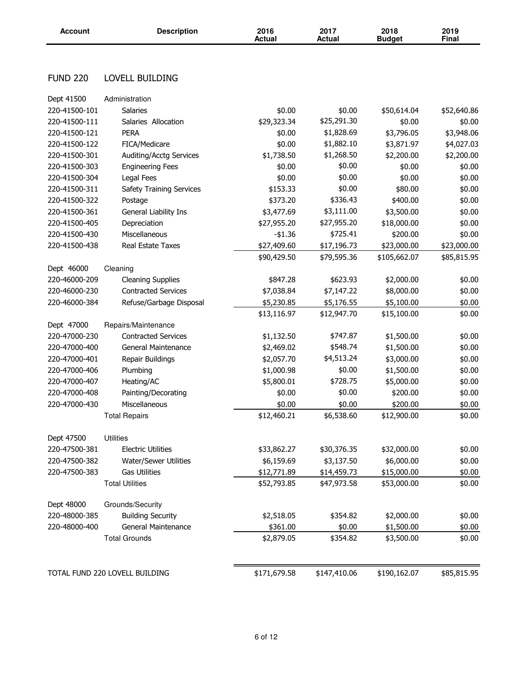| <b>Account</b>  | <b>Description</b>              | 2016<br><b>Actual</b> | 2017<br><b>Actual</b> | 2018<br><b>Budget</b> | 2019<br><b>Final</b> |
|-----------------|---------------------------------|-----------------------|-----------------------|-----------------------|----------------------|
|                 |                                 |                       |                       |                       |                      |
| <b>FUND 220</b> | LOVELL BUILDING                 |                       |                       |                       |                      |
| Dept 41500      | Administration                  |                       |                       |                       |                      |
| 220-41500-101   | <b>Salaries</b>                 | \$0.00                | \$0.00                | \$50,614.04           | \$52,640.86          |
| 220-41500-111   | Salaries Allocation             | \$29,323.34           | \$25,291.30           | \$0.00                | \$0.00               |
| 220-41500-121   | <b>PERA</b>                     | \$0.00                | \$1,828.69            | \$3,796.05            | \$3,948.06           |
| 220-41500-122   | FICA/Medicare                   | \$0.00                | \$1,882.10            | \$3,871.97            | \$4,027.03           |
| 220-41500-301   | Auditing/Acctg Services         | \$1,738.50            | \$1,268.50            | \$2,200.00            | \$2,200.00           |
| 220-41500-303   | <b>Engineering Fees</b>         | \$0.00                | \$0.00                | \$0.00                | \$0.00               |
| 220-41500-304   | Legal Fees                      | \$0.00                | \$0.00                | \$0.00                | \$0.00               |
| 220-41500-311   | <b>Safety Training Services</b> | \$153.33              | \$0.00                | \$80.00               | \$0.00               |
| 220-41500-322   | Postage                         | \$373.20              | \$336.43              | \$400.00              | \$0.00               |
| 220-41500-361   | General Liability Ins           | \$3,477.69            | \$3,111.00            | \$3,500.00            | \$0.00               |
| 220-41500-405   | Depreciation                    | \$27,955.20           | \$27,955.20           | \$18,000.00           | \$0.00               |
| 220-41500-430   | Miscellaneous                   | $-$1.36$              | \$725.41              | \$200.00              | \$0.00               |
| 220-41500-438   | Real Estate Taxes               | \$27,409.60           | \$17,196.73           | \$23,000.00           | \$23,000.00          |
|                 |                                 | \$90,429.50           | \$79,595.36           | \$105,662.07          | \$85,815.95          |
| Dept 46000      | Cleaning                        |                       |                       |                       |                      |
| 220-46000-209   | <b>Cleaning Supplies</b>        | \$847.28              | \$623.93              | \$2,000.00            | \$0.00               |
| 220-46000-230   | <b>Contracted Services</b>      | \$7,038.84            | \$7,147.22            | \$8,000.00            | \$0.00               |
| 220-46000-384   | Refuse/Garbage Disposal         | \$5,230.85            | \$5,176.55            | \$5,100.00            | \$0.00               |
|                 |                                 | \$13,116.97           | \$12,947.70           | \$15,100.00           | \$0.00               |
| Dept 47000      | Repairs/Maintenance             |                       |                       |                       |                      |
| 220-47000-230   | <b>Contracted Services</b>      | \$1,132.50            | \$747.87              | \$1,500.00            | \$0.00               |
| 220-47000-400   | General Maintenance             | \$2,469.02            | \$548.74              | \$1,500.00            | \$0.00               |
| 220-47000-401   | Repair Buildings                | \$2,057.70            | \$4,513.24            | \$3,000.00            | \$0.00               |
| 220-47000-406   | Plumbing                        | \$1,000.98            | \$0.00                | \$1,500.00            | \$0.00               |
| 220-47000-407   | Heating/AC                      | \$5,800.01            | \$728.75              | \$5,000.00            | \$0.00               |
| 220-47000-408   | Painting/Decorating             | \$0.00                | \$0.00                | \$200.00              | \$0.00               |
| 220-47000-430   | Miscellaneous                   | \$0.00                | \$0.00                | \$200.00              | \$0.00               |
|                 | <b>Total Repairs</b>            | \$12,460.21           | \$6,538.60            | \$12,900.00           | \$0.00               |
| Dept 47500      | <b>Utilities</b>                |                       |                       |                       |                      |
| 220-47500-381   | <b>Electric Utilities</b>       | \$33,862.27           | \$30,376.35           | \$32,000.00           | \$0.00               |
| 220-47500-382   | Water/Sewer Utilities           | \$6,159.69            | \$3,137.50            | \$6,000.00            | \$0.00               |
| 220-47500-383   | <b>Gas Utilities</b>            | \$12,771.89           | \$14,459.73           | \$15,000.00           | \$0.00               |
|                 | <b>Total Utilities</b>          | \$52,793.85           | \$47,973.58           | \$53,000.00           | \$0.00               |
| Dept 48000      | Grounds/Security                |                       |                       |                       |                      |
| 220-48000-385   | <b>Building Security</b>        | \$2,518.05            | \$354.82              | \$2,000.00            | \$0.00               |
| 220-48000-400   | General Maintenance             | \$361.00              | \$0.00                | \$1,500.00            | \$0.00               |
|                 | <b>Total Grounds</b>            | \$2,879.05            | \$354.82              | \$3,500.00            | \$0.00               |
|                 |                                 |                       |                       |                       |                      |
|                 | TOTAL FUND 220 LOVELL BUILDING  | \$171,679.58          | \$147,410.06          | \$190,162.07          | \$85,815.95          |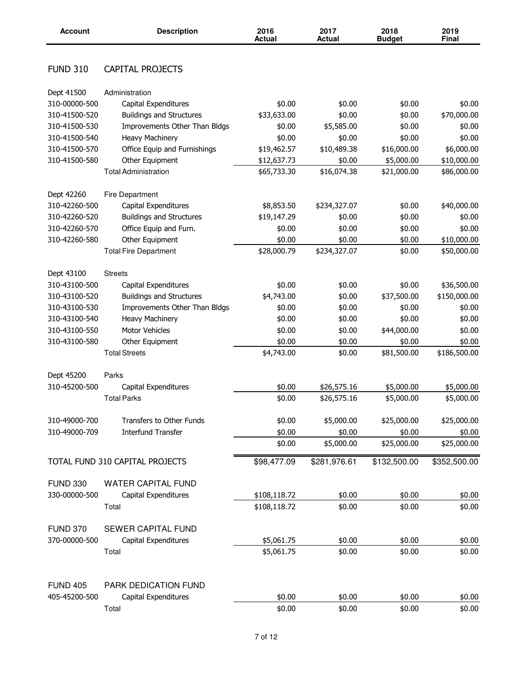| <b>Account</b>  | <b>Description</b>              | 2016<br><b>Actual</b> | 2017<br><b>Actual</b> | 2018<br><b>Budget</b> | 2019<br>Final |
|-----------------|---------------------------------|-----------------------|-----------------------|-----------------------|---------------|
|                 |                                 |                       |                       |                       |               |
| <b>FUND 310</b> | <b>CAPITAL PROJECTS</b>         |                       |                       |                       |               |
| Dept 41500      | Administration                  |                       |                       |                       |               |
| 310-00000-500   | Capital Expenditures            | \$0.00                | \$0.00                | \$0.00                | \$0.00        |
| 310-41500-520   | <b>Buildings and Structures</b> | \$33,633.00           | \$0.00                | \$0.00                | \$70,000.00   |
| 310-41500-530   | Improvements Other Than Bldgs   | \$0.00                | \$5,585.00            | \$0.00                | \$0.00        |
| 310-41500-540   | <b>Heavy Machinery</b>          | \$0.00                | \$0.00                | \$0.00                | \$0.00        |
| 310-41500-570   | Office Equip and Furnishings    | \$19,462.57           | \$10,489.38           | \$16,000.00           | \$6,000.00    |
| 310-41500-580   | Other Equipment                 | \$12,637.73           | \$0.00                | \$5,000.00            | \$10,000.00   |
|                 | <b>Total Administration</b>     | \$65,733.30           | \$16,074.38           | \$21,000.00           | \$86,000.00   |
| Dept 42260      | Fire Department                 |                       |                       |                       |               |
| 310-42260-500   | Capital Expenditures            | \$8,853.50            | \$234,327.07          | \$0.00                | \$40,000.00   |
| 310-42260-520   | <b>Buildings and Structures</b> | \$19,147.29           | \$0.00                | \$0.00                | \$0.00        |
| 310-42260-570   | Office Equip and Furn.          | \$0.00                | \$0.00                | \$0.00                | \$0.00        |
| 310-42260-580   | Other Equipment                 | \$0.00                | \$0.00                | \$0.00                | \$10,000.00   |
|                 | <b>Total Fire Department</b>    | \$28,000.79           | \$234,327.07          | \$0.00                | \$50,000.00   |
| Dept 43100      | <b>Streets</b>                  |                       |                       |                       |               |
| 310-43100-500   | Capital Expenditures            | \$0.00                | \$0.00                | \$0.00                | \$36,500.00   |
| 310-43100-520   | <b>Buildings and Structures</b> | \$4,743.00            | \$0.00                | \$37,500.00           | \$150,000.00  |
| 310-43100-530   | Improvements Other Than Bldgs   | \$0.00                | \$0.00                | \$0.00                | \$0.00        |
| 310-43100-540   | <b>Heavy Machinery</b>          | \$0.00                | \$0.00                | \$0.00                | \$0.00        |
| 310-43100-550   | Motor Vehicles                  | \$0.00                | \$0.00                | \$44,000.00           | \$0.00        |
| 310-43100-580   | Other Equipment                 | \$0.00                | \$0.00                | \$0.00                | \$0.00        |
|                 | <b>Total Streets</b>            | \$4,743.00            | \$0.00                | \$81,500.00           | \$186,500.00  |
| Dept 45200      | Parks                           |                       |                       |                       |               |
| 310-45200-500   | Capital Expenditures            | \$0.00                | \$26,575.16           | \$5,000.00            | \$5,000.00    |
|                 | <b>Total Parks</b>              | \$0.00                | \$26,575.16           | \$5,000.00            | \$5,000.00    |
| 310-49000-700   | Transfers to Other Funds        | \$0.00                | \$5,000.00            | \$25,000.00           | \$25,000.00   |
| 310-49000-709   | <b>Interfund Transfer</b>       | \$0.00                | \$0.00                | \$0.00                | \$0.00        |
|                 |                                 | \$0.00                | \$5,000.00            | \$25,000.00           | \$25,000.00   |
|                 | TOTAL FUND 310 CAPITAL PROJECTS | \$98,477.09           | \$281,976.61          | \$132,500.00          | \$352,500.00  |
| <b>FUND 330</b> | <b>WATER CAPITAL FUND</b>       |                       |                       |                       |               |
| 330-00000-500   | Capital Expenditures            | \$108,118.72          | \$0.00                | \$0.00                | \$0.00        |
|                 | Total                           | \$108,118.72          | \$0.00                | \$0.00                | \$0.00        |
| <b>FUND 370</b> | <b>SEWER CAPITAL FUND</b>       |                       |                       |                       |               |
| 370-00000-500   | Capital Expenditures            | \$5,061.75            | \$0.00                | \$0.00                | \$0.00        |
|                 | Total                           | \$5,061.75            | \$0.00                | \$0.00                | \$0.00        |
|                 |                                 |                       |                       |                       |               |
| <b>FUND 405</b> | <b>PARK DEDICATION FUND</b>     |                       |                       |                       |               |
| 405-45200-500   | Capital Expenditures            | \$0.00                | \$0.00                | \$0.00                | \$0.00        |
|                 | Total                           | \$0.00                | \$0.00                | \$0.00                | \$0.00        |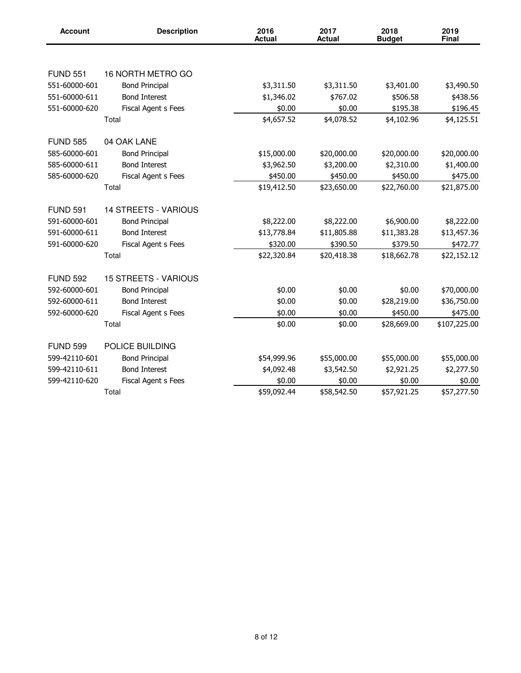| <b>Account</b>  | <b>Description</b>          | 2016<br><b>Actual</b> | 2017<br><b>Actual</b> | 2018<br><b>Budget</b> | 2019<br>Final |
|-----------------|-----------------------------|-----------------------|-----------------------|-----------------------|---------------|
|                 |                             |                       |                       |                       |               |
| <b>FUND 551</b> | 16 NORTH METRO GO           |                       |                       |                       |               |
| 551-60000-601   | <b>Bond Principal</b>       | \$3,311.50            | \$3,311.50            | \$3,401.00            | \$3,490.50    |
| 551-60000-611   | <b>Bond Interest</b>        | \$1,346.02            | \$767.02              | \$506.58              | \$438.56      |
| 551-60000-620   | Fiscal Agent s Fees         | \$0.00                | \$0.00                | \$195.38              | \$196.45      |
|                 | Total                       | \$4,657.52            | \$4,078.52            | \$4,102.96            | \$4,125.51    |
| <b>FUND 585</b> | 04 OAK LANE                 |                       |                       |                       |               |
| 585-60000-601   | <b>Bond Principal</b>       | \$15,000.00           | \$20,000.00           | \$20,000.00           | \$20,000.00   |
| 585-60000-611   | <b>Bond Interest</b>        | \$3,962.50            | \$3,200.00            | \$2,310.00            | \$1,400.00    |
| 585-60000-620   | Fiscal Agent s Fees         | \$450.00              | \$450.00              | \$450.00              | \$475.00      |
|                 | Total                       | \$19,412.50           | \$23,650.00           | \$22,760.00           | \$21,875.00   |
| <b>FUND 591</b> | <b>14 STREETS - VARIOUS</b> |                       |                       |                       |               |
| 591-60000-601   | <b>Bond Principal</b>       | \$8,222.00            | \$8,222.00            | \$6,900.00            | \$8,222.00    |
| 591-60000-611   | <b>Bond Interest</b>        | \$13,778.84           | \$11,805.88           | \$11,383.28           | \$13,457.36   |
| 591-60000-620   | Fiscal Agent s Fees         | \$320.00              | \$390.50              | \$379.50              | \$472.77      |
|                 | Total                       | \$22,320.84           | \$20,418.38           | \$18,662.78           | \$22,152.12   |
| <b>FUND 592</b> | <b>15 STREETS - VARIOUS</b> |                       |                       |                       |               |
| 592-60000-601   | <b>Bond Principal</b>       | \$0.00                | \$0.00                | \$0.00                | \$70,000.00   |
| 592-60000-611   | <b>Bond Interest</b>        | \$0.00                | \$0.00                | \$28,219.00           | \$36,750.00   |
| 592-60000-620   | Fiscal Agent s Fees         | \$0.00                | \$0.00                | \$450.00              | \$475.00      |
|                 | Total                       | \$0.00                | \$0.00                | \$28,669.00           | \$107,225.00  |
| <b>FUND 599</b> | POLICE BUILDING             |                       |                       |                       |               |
| 599-42110-601   | <b>Bond Principal</b>       | \$54,999.96           | \$55,000.00           | \$55,000.00           | \$55,000.00   |
| 599-42110-611   | <b>Bond Interest</b>        | \$4,092.48            | \$3,542.50            | \$2,921.25            | \$2,277.50    |
| 599-42110-620   | Fiscal Agent s Fees         | \$0.00                | \$0.00                | \$0.00                | \$0.00        |
|                 | Total                       | \$59,092.44           | \$58,542.50           | \$57,921.25           | \$57,277.50   |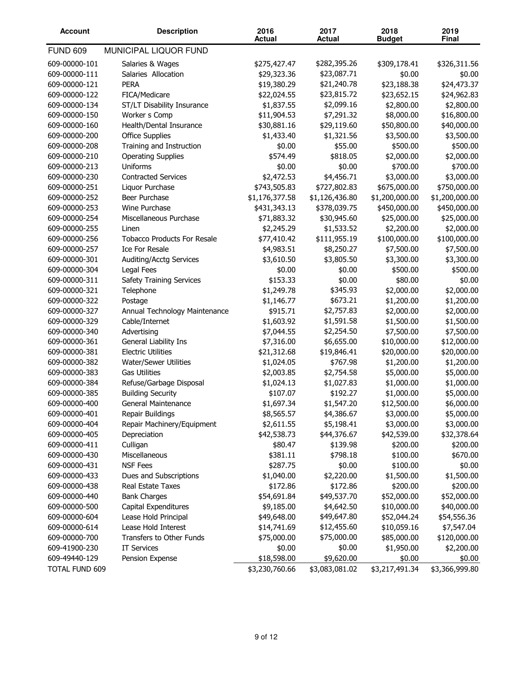| <b>Account</b>  | <b>Description</b>                 | 2016<br><b>Actual</b> | 2017<br><b>Actual</b> | 2018<br><b>Budget</b> | 2019<br>Final  |
|-----------------|------------------------------------|-----------------------|-----------------------|-----------------------|----------------|
| <b>FUND 609</b> | MUNICIPAL LIQUOR FUND              |                       |                       |                       |                |
| 609-00000-101   | Salaries & Wages                   | \$275,427.47          | \$282,395.26          | \$309,178.41          | \$326,311.56   |
| 609-00000-111   | Salaries Allocation                | \$29,323.36           | \$23,087.71           | \$0.00                | \$0.00         |
| 609-00000-121   | <b>PERA</b>                        | \$19,380.29           | \$21,240.78           | \$23,188.38           | \$24,473.37    |
| 609-00000-122   | FICA/Medicare                      | \$22,024.55           | \$23,815.72           | \$23,652.15           | \$24,962.83    |
| 609-00000-134   | ST/LT Disability Insurance         | \$1,837.55            | \$2,099.16            | \$2,800.00            | \$2,800.00     |
| 609-00000-150   | Worker s Comp                      | \$11,904.53           | \$7,291.32            | \$8,000.00            | \$16,800.00    |
| 609-00000-160   | Health/Dental Insurance            | \$30,881.16           | \$29,119.60           | \$50,800.00           | \$40,000.00    |
| 609-00000-200   | <b>Office Supplies</b>             | \$1,433.40            | \$1,321.56            | \$3,500.00            | \$3,500.00     |
| 609-00000-208   | Training and Instruction           | \$0.00                | \$55.00               | \$500.00              | \$500.00       |
| 609-00000-210   | <b>Operating Supplies</b>          | \$574.49              | \$818.05              | \$2,000.00            | \$2,000.00     |
| 609-00000-213   | Uniforms                           | \$0.00                | \$0.00                | \$700.00              | \$700.00       |
| 609-00000-230   | <b>Contracted Services</b>         | \$2,472.53            | \$4,456.71            | \$3,000.00            | \$3,000.00     |
| 609-00000-251   | Liquor Purchase                    | \$743,505.83          | \$727,802.83          | \$675,000.00          | \$750,000.00   |
| 609-00000-252   | Beer Purchase                      | \$1,176,377.58        | \$1,126,436.80        | \$1,200,000.00        | \$1,200,000.00 |
| 609-00000-253   | Wine Purchase                      | \$431,343.13          | \$378,039.75          | \$450,000.00          | \$450,000.00   |
| 609-00000-254   | Miscellaneous Purchase             | \$71,883.32           | \$30,945.60           | \$25,000.00           | \$25,000.00    |
| 609-00000-255   | Linen                              | \$2,245.29            | \$1,533.52            | \$2,200.00            | \$2,000.00     |
| 609-00000-256   | <b>Tobacco Products For Resale</b> | \$77,410.42           | \$111,955.19          | \$100,000.00          | \$100,000.00   |
| 609-00000-257   | <b>Ice For Resale</b>              | \$4,983.51            | \$8,250.27            | \$7,500.00            | \$7,500.00     |
| 609-00000-301   | Auditing/Acctg Services            | \$3,610.50            | \$3,805.50            | \$3,300.00            | \$3,300.00     |
| 609-00000-304   | Legal Fees                         | \$0.00                | \$0.00                | \$500.00              | \$500.00       |
| 609-00000-311   | <b>Safety Training Services</b>    | \$153.33              | \$0.00                | \$80.00               | \$0.00         |
| 609-00000-321   | Telephone                          | \$1,249.78            | \$345.93              | \$2,000.00            | \$2,000.00     |
| 609-00000-322   | Postage                            | \$1,146.77            | \$673.21              | \$1,200.00            | \$1,200.00     |
| 609-00000-327   | Annual Technology Maintenance      | \$915.71              | \$2,757.83            | \$2,000.00            | \$2,000.00     |
| 609-00000-329   | Cable/Internet                     | \$1,603.92            | \$1,591.58            | \$1,500.00            | \$1,500.00     |
| 609-00000-340   | Advertising                        | \$7,044.55            | \$2,254.50            | \$7,500.00            | \$7,500.00     |
| 609-00000-361   | General Liability Ins              | \$7,316.00            | \$6,655.00            | \$10,000.00           | \$12,000.00    |
| 609-00000-381   | <b>Electric Utilities</b>          | \$21,312.68           | \$19,846.41           | \$20,000.00           | \$20,000.00    |
| 609-00000-382   | Water/Sewer Utilities              | \$1,024.05            | \$767.98              | \$1,200.00            | \$1,200.00     |
| 609-00000-383   | <b>Gas Utilities</b>               | \$2,003.85            | \$2,754.58            | \$5,000.00            | \$5,000.00     |
| 609-00000-384   | Refuse/Garbage Disposal            | \$1,024.13            | \$1,027.83            | \$1,000.00            | \$1,000.00     |
| 609-00000-385   | <b>Building Security</b>           | \$107.07              | \$192.27              | \$1,000.00            | \$5,000.00     |
| 609-00000-400   | General Maintenance                | \$1,697.34            | \$1,547.20            | \$12,500.00           | \$6,000.00     |
| 609-00000-401   | Repair Buildings                   | \$8,565.57            | \$4,386.67            | \$3,000.00            | \$5,000.00     |
| 609-00000-404   | Repair Machinery/Equipment         | \$2,611.55            | \$5,198.41            | \$3,000.00            | \$3,000.00     |
| 609-00000-405   | Depreciation                       | \$42,538.73           | \$44,376.67           | \$42,539.00           | \$32,378.64    |
| 609-00000-411   | Culligan                           | \$80.47               | \$139.98              | \$200.00              | \$200.00       |
| 609-00000-430   | Miscellaneous                      | \$381.11              | \$798.18              | \$100.00              | \$670.00       |
| 609-00000-431   | <b>NSF Fees</b>                    | \$287.75              | \$0.00                | \$100.00              | \$0.00         |
| 609-00000-433   | Dues and Subscriptions             | \$1,040.00            | \$2,220.00            | \$1,500.00            | \$1,500.00     |
| 609-00000-438   | Real Estate Taxes                  | \$172.86              | \$172.86              | \$200.00              | \$200.00       |
| 609-00000-440   | <b>Bank Charges</b>                | \$54,691.84           | \$49,537.70           | \$52,000.00           | \$52,000.00    |
| 609-00000-500   | Capital Expenditures               | \$9,185.00            | \$4,642.50            | \$10,000.00           | \$40,000.00    |
| 609-00000-604   | Lease Hold Principal               | \$49,648.00           | \$49,647.80           | \$52,044.24           | \$54,556.36    |
| 609-00000-614   | Lease Hold Interest                | \$14,741.69           | \$12,455.60           | \$10,059.16           | \$7,547.04     |
| 609-00000-700   | Transfers to Other Funds           | \$75,000.00           | \$75,000.00           | \$85,000.00           | \$120,000.00   |
| 609-41900-230   | <b>IT Services</b>                 | \$0.00                | \$0.00                | \$1,950.00            | \$2,200.00     |
| 609-49440-129   | Pension Expense                    | \$18,598.00           | \$9,620.00            | \$0.00                | \$0.00         |
| TOTAL FUND 609  |                                    | \$3,230,760.66        | \$3,083,081.02        | \$3,217,491.34        | \$3,366,999.80 |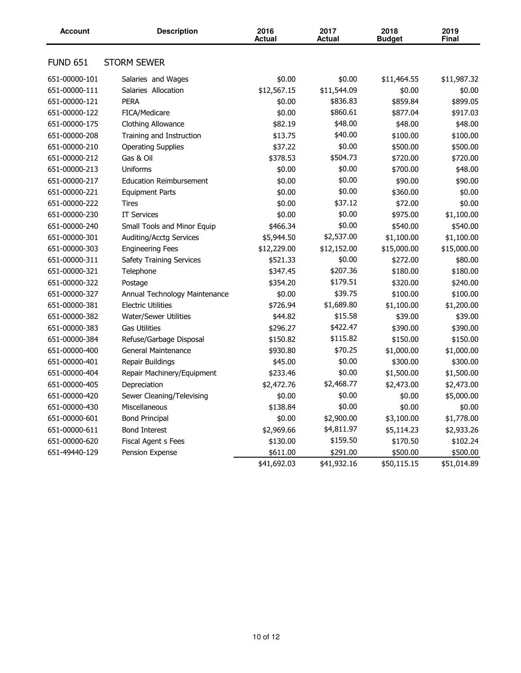| <b>Account</b>  | <b>Description</b>              | 2016<br><b>Actual</b> | 2017<br><b>Actual</b> | 2018<br><b>Budget</b> | 2019<br>Final |
|-----------------|---------------------------------|-----------------------|-----------------------|-----------------------|---------------|
| <b>FUND 651</b> | <b>STORM SEWER</b>              |                       |                       |                       |               |
| 651-00000-101   | Salaries and Wages              | \$0.00                | \$0.00                | \$11,464.55           | \$11,987.32   |
| 651-00000-111   | Salaries Allocation             | \$12,567.15           | \$11,544.09           | \$0.00                | \$0.00        |
| 651-00000-121   | <b>PERA</b>                     | \$0.00                | \$836.83              | \$859.84              | \$899.05      |
| 651-00000-122   | FICA/Medicare                   | \$0.00                | \$860.61              | \$877.04              | \$917.03      |
| 651-00000-175   | Clothing Allowance              | \$82.19               | \$48.00               | \$48.00               | \$48.00       |
| 651-00000-208   | Training and Instruction        | \$13.75               | \$40.00               | \$100.00              | \$100.00      |
| 651-00000-210   | <b>Operating Supplies</b>       | \$37.22               | \$0.00                | \$500.00              | \$500.00      |
| 651-00000-212   | Gas & Oil                       | \$378.53              | \$504.73              | \$720.00              | \$720.00      |
| 651-00000-213   | <b>Uniforms</b>                 | \$0.00                | \$0.00                | \$700.00              | \$48.00       |
| 651-00000-217   | <b>Education Reimbursement</b>  | \$0.00                | \$0.00                | \$90.00               | \$90.00       |
| 651-00000-221   | <b>Equipment Parts</b>          | \$0.00                | \$0.00                | \$360.00              | \$0.00        |
| 651-00000-222   | Tires                           | \$0.00                | \$37.12               | \$72.00               | \$0.00        |
| 651-00000-230   | <b>IT Services</b>              | \$0.00                | \$0.00                | \$975.00              | \$1,100.00    |
| 651-00000-240   | Small Tools and Minor Equip     | \$466.34              | \$0.00                | \$540.00              | \$540.00      |
| 651-00000-301   | Auditing/Acctg Services         | \$5,944.50            | \$2,537.00            | \$1,100.00            | \$1,100.00    |
| 651-00000-303   | <b>Engineering Fees</b>         | \$12,229.00           | \$12,152.00           | \$15,000.00           | \$15,000.00   |
| 651-00000-311   | <b>Safety Training Services</b> | \$521.33              | \$0.00                | \$272.00              | \$80.00       |
| 651-00000-321   | Telephone                       | \$347.45              | \$207.36              | \$180.00              | \$180.00      |
| 651-00000-322   | Postage                         | \$354.20              | \$179.51              | \$320.00              | \$240.00      |
| 651-00000-327   | Annual Technology Maintenance   | \$0.00                | \$39.75               | \$100.00              | \$100.00      |
| 651-00000-381   | <b>Electric Utilities</b>       | \$726.94              | \$1,689.80            | \$1,100.00            | \$1,200.00    |
| 651-00000-382   | Water/Sewer Utilities           | \$44.82               | \$15.58               | \$39.00               | \$39.00       |
| 651-00000-383   | <b>Gas Utilities</b>            | \$296.27              | \$422.47              | \$390.00              | \$390.00      |
| 651-00000-384   | Refuse/Garbage Disposal         | \$150.82              | \$115.82              | \$150.00              | \$150.00      |
| 651-00000-400   | General Maintenance             | \$930.80              | \$70.25               | \$1,000.00            | \$1,000.00    |
| 651-00000-401   | Repair Buildings                | \$45.00               | \$0.00                | \$300.00              | \$300.00      |
| 651-00000-404   | Repair Machinery/Equipment      | \$233.46              | \$0.00                | \$1,500.00            | \$1,500.00    |
| 651-00000-405   | Depreciation                    | \$2,472.76            | \$2,468.77            | \$2,473.00            | \$2,473.00    |
| 651-00000-420   | Sewer Cleaning/Televising       | \$0.00                | \$0.00                | \$0.00                | \$5,000.00    |
| 651-00000-430   | Miscellaneous                   | \$138.84              | \$0.00                | \$0.00                | \$0.00        |
| 651-00000-601   | <b>Bond Principal</b>           | \$0.00                | \$2,900.00            | \$3,100.00            | \$1,778.00    |
| 651-00000-611   | <b>Bond Interest</b>            | \$2,969.66            | \$4,811.97            | \$5,114.23            | \$2,933.26    |
| 651-00000-620   | Fiscal Agent s Fees             | \$130.00              | \$159.50              | \$170.50              | \$102.24      |
| 651-49440-129   | Pension Expense                 | \$611.00              | \$291.00              | \$500.00              | \$500.00      |
|                 |                                 | \$41,692.03           | \$41,932.16           | \$50,115.15           | \$51,014.89   |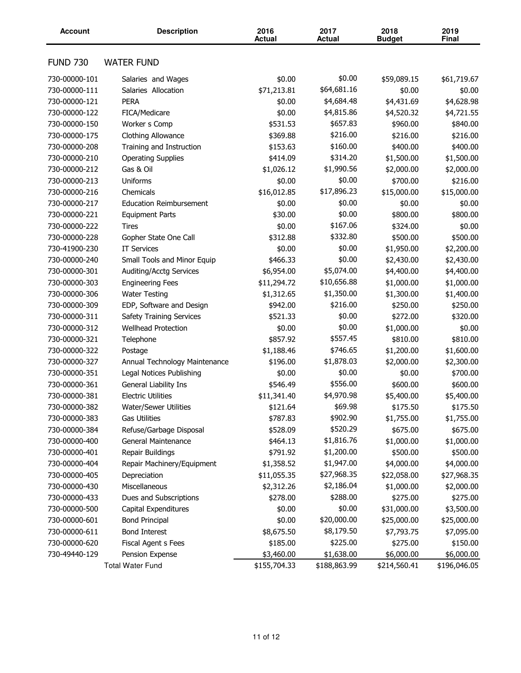| <b>Account</b>                 | <b>Description</b>                            | 2016<br><b>Actual</b>  | 2017<br><b>Actual</b> | 2018<br><b>Budget</b>  | 2019<br>Final          |
|--------------------------------|-----------------------------------------------|------------------------|-----------------------|------------------------|------------------------|
| <b>FUND 730</b>                | <b>WATER FUND</b>                             |                        |                       |                        |                        |
| 730-00000-101                  | Salaries and Wages                            | \$0.00                 | \$0.00                | \$59,089.15            | \$61,719.67            |
| 730-00000-111                  | Salaries Allocation                           | \$71,213.81            | \$64,681.16           | \$0.00                 | \$0.00                 |
| 730-00000-121                  | <b>PERA</b>                                   | \$0.00                 | \$4,684.48            | \$4,431.69             | \$4,628.98             |
| 730-00000-122                  | FICA/Medicare                                 | \$0.00                 | \$4,815.86            | \$4,520.32             | \$4,721.55             |
| 730-00000-150                  | Worker s Comp                                 | \$531.53               | \$657.83              | \$960.00               | \$840.00               |
| 730-00000-175                  | Clothing Allowance                            | \$369.88               | \$216.00              | \$216.00               | \$216.00               |
| 730-00000-208                  | Training and Instruction                      | \$153.63               | \$160.00              | \$400.00               | \$400.00               |
| 730-00000-210                  | <b>Operating Supplies</b>                     | \$414.09               | \$314.20              | \$1,500.00             | \$1,500.00             |
| 730-00000-212                  | Gas & Oil                                     | \$1,026.12             | \$1,990.56            | \$2,000.00             | \$2,000.00             |
| 730-00000-213                  | Uniforms                                      | \$0.00                 | \$0.00                | \$700.00               | \$216.00               |
| 730-00000-216                  | Chemicals                                     | \$16,012.85            | \$17,896.23           | \$15,000.00            | \$15,000.00            |
| 730-00000-217                  | <b>Education Reimbursement</b>                | \$0.00                 | \$0.00                | \$0.00                 | \$0.00                 |
| 730-00000-221                  | <b>Equipment Parts</b>                        | \$30.00                | \$0.00                | \$800.00               | \$800.00               |
| 730-00000-222                  | <b>Tires</b>                                  | \$0.00                 | \$167.06              | \$324.00               | \$0.00                 |
| 730-00000-228                  | Gopher State One Call                         | \$312.88               | \$332.80              | \$500.00               | \$500.00               |
| 730-41900-230                  | <b>IT Services</b>                            | \$0.00                 | \$0.00                | \$1,950.00             | \$2,200.00             |
| 730-00000-240                  | Small Tools and Minor Equip                   | \$466.33               | \$0.00                | \$2,430.00             | \$2,430.00             |
| 730-00000-301                  | Auditing/Acctg Services                       | \$6,954.00             | \$5,074.00            | \$4,400.00             | \$4,400.00             |
| 730-00000-303                  | <b>Engineering Fees</b>                       | \$11,294.72            | \$10,656.88           | \$1,000.00             | \$1,000.00             |
| 730-00000-306                  | <b>Water Testing</b>                          | \$1,312.65             | \$1,350.00            | \$1,300.00             | \$1,400.00             |
| 730-00000-309                  | EDP, Software and Design                      | \$942.00               | \$216.00              | \$250.00               | \$250.00               |
| 730-00000-311                  | <b>Safety Training Services</b>               | \$521.33               | \$0.00                | \$272.00               | \$320.00               |
| 730-00000-312                  | <b>Wellhead Protection</b>                    | \$0.00                 | \$0.00                | \$1,000.00             | \$0.00                 |
| 730-00000-321                  | Telephone                                     | \$857.92               | \$557.45              | \$810.00               | \$810.00               |
| 730-00000-322                  | Postage                                       | \$1,188.46             | \$746.65              | \$1,200.00             | \$1,600.00             |
| 730-00000-327                  | Annual Technology Maintenance                 | \$196.00               | \$1,878.03            | \$2,000.00             | \$2,300.00             |
| 730-00000-351                  | Legal Notices Publishing                      |                        | \$0.00                | \$0.00                 | \$700.00               |
| 730-00000-361                  | General Liability Ins                         | \$0.00<br>\$546.49     | \$556.00              | \$600.00               | \$600.00               |
| 730-00000-381                  | <b>Electric Utilities</b>                     | \$11,341.40            | \$4,970.98            | \$5,400.00             | \$5,400.00             |
|                                |                                               |                        | \$69.98               |                        |                        |
| 730-00000-382<br>730-00000-383 | Water/Sewer Utilities<br><b>Gas Utilities</b> | \$121.64<br>\$787.83   | \$902.90              | \$175.50<br>\$1,755.00 | \$175.50<br>\$1,755.00 |
| 730-00000-384                  | Refuse/Garbage Disposal                       | \$528.09               | \$520.29              | \$675.00               | \$675.00               |
| 730-00000-400                  | General Maintenance                           | \$464.13               | \$1,816.76            | \$1,000.00             | \$1,000.00             |
| 730-00000-401                  | Repair Buildings                              | \$791.92               | \$1,200.00            | \$500.00               | \$500.00               |
| 730-00000-404                  | Repair Machinery/Equipment                    | \$1,358.52             | \$1,947.00            | \$4,000.00             | \$4,000.00             |
|                                |                                               |                        | \$27,968.35           | \$22,058.00            |                        |
| 730-00000-405<br>730-00000-430 | Depreciation<br>Miscellaneous                 | \$11,055.35            | \$2,186.04            |                        | \$27,968.35            |
|                                |                                               | \$2,312.26<br>\$278.00 | \$288.00              | \$1,000.00             | \$2,000.00             |
| 730-00000-433                  | Dues and Subscriptions                        |                        | \$0.00                | \$275.00               | \$275.00               |
| 730-00000-500                  | Capital Expenditures                          | \$0.00                 |                       | \$31,000.00            | \$3,500.00             |
| 730-00000-601                  | <b>Bond Principal</b>                         | \$0.00                 | \$20,000.00           | \$25,000.00            | \$25,000.00            |
| 730-00000-611                  | <b>Bond Interest</b>                          | \$8,675.50             | \$8,179.50            | \$7,793.75             | \$7,095.00             |
| 730-00000-620                  | Fiscal Agent s Fees                           | \$185.00               | \$225.00              | \$275.00               | \$150.00               |
| 730-49440-129                  | Pension Expense                               | \$3,460.00             | \$1,638.00            | \$6,000.00             | \$6,000.00             |
|                                | <b>Total Water Fund</b>                       | \$155,704.33           | \$188,863.99          | \$214,560.41           | \$196,046.05           |